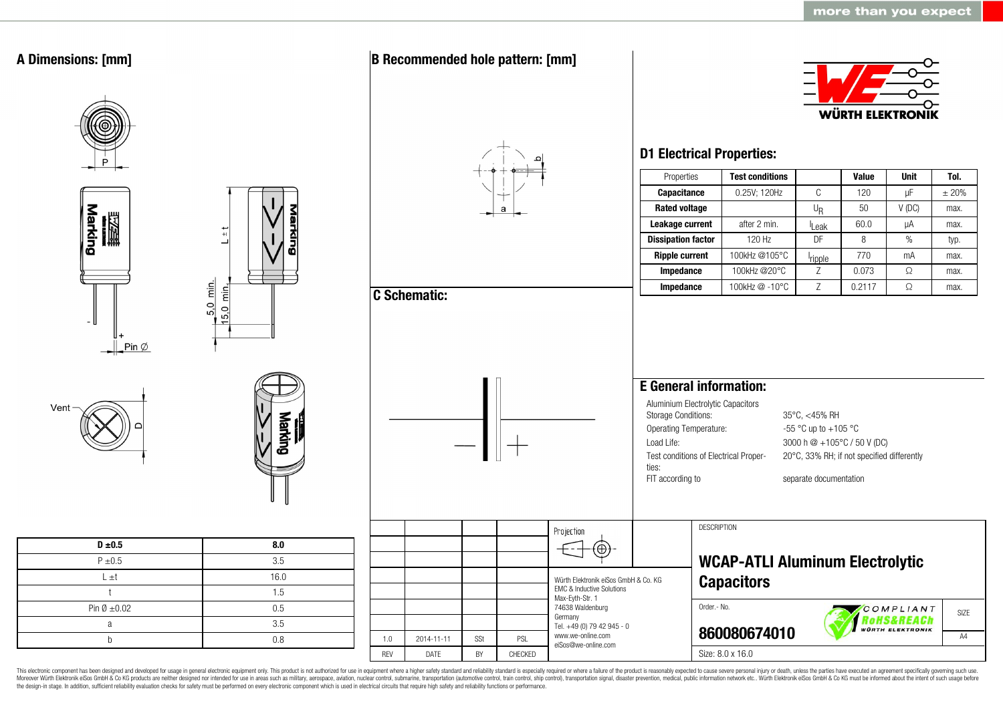

This electronic component has been designed and developed for usage in general electronic equipment only. This product is not authorized for use in equipment where a higher safety standard and reliability standard is espec Moreover Würth Elektronik eiSos GmbH & Co KG products are neither designed nor intended for use in areas such as military, aerospace, aviation, nuclear control, submarine, transportation (automotive control, ship control), the design-in stage. In addition, sufficient reliability evaluation checks for safety must be performed on every electronic component which is used in electrical circuits that require high safety and reliability functions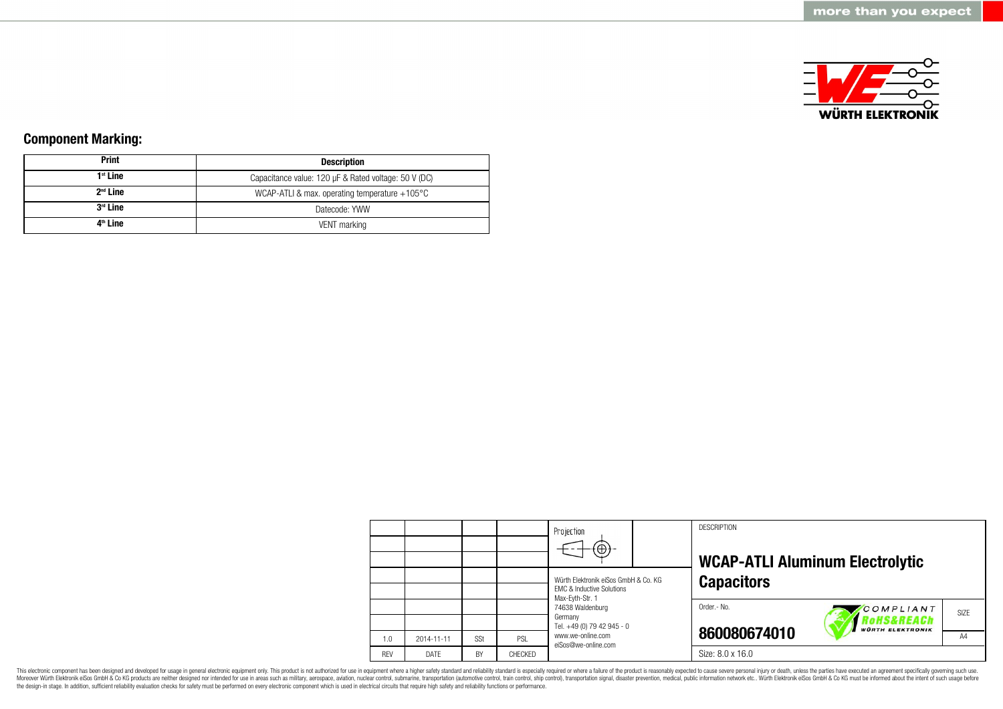

### **Component Marking:**

| <b>Print</b>         | <b>Description</b>                                      |  |  |  |  |
|----------------------|---------------------------------------------------------|--|--|--|--|
| $1st$ Line           | Capacitance value: 120 µF & Rated voltage: 50 V (DC)    |  |  |  |  |
| $2nd$ Line           | WCAP-ATLI & max. operating temperature $+105^{\circ}$ C |  |  |  |  |
| $3rd$ Line           | Datecode: YWW                                           |  |  |  |  |
| 4 <sup>th</sup> Line | VENT marking                                            |  |  |  |  |

|            |            |           |         | Projection<br>$\bigoplus$                                                                       |  | <b>DESCRIPTION</b> | <b>WCAP-ATLI Aluminum Electrolytic</b>    |      |
|------------|------------|-----------|---------|-------------------------------------------------------------------------------------------------|--|--------------------|-------------------------------------------|------|
|            |            |           |         | Würth Elektronik eiSos GmbH & Co. KG<br><b>EMC &amp; Inductive Solutions</b><br>Max-Eyth-Str. 1 |  | <b>Capacitors</b>  |                                           |      |
|            |            |           |         | 74638 Waldenburg<br>Germany                                                                     |  | Order .- No.       | COMPLIANT<br><i><b>RoHS&amp;REACh</b></i> | SIZE |
|            |            |           |         | Tel. +49 (0) 79 42 945 - 0                                                                      |  |                    | <b>WÜRTH ELEKTRONIK</b>                   |      |
| 1.0        | 2014-11-11 | SSt       | PSL     | www.we-online.com<br>eiSos@we-online.com                                                        |  | 860080674010       |                                           | A4   |
| <b>RFV</b> | DATF       | <b>BY</b> | CHECKED |                                                                                                 |  | Size: 8.0 x 16.0   |                                           |      |

This electronic component has been designed and developed for usage in general electronic equipment only. This product is not authorized for use in equipment where a higher safety standard and reliability standard is espec Moreover Würth Elektronik eiSos GmbH & Co KG products are neither designed nor intended for use in areas such as military, aerospace, aviation, nuclear control, submarine, transportation (automotive control), stain control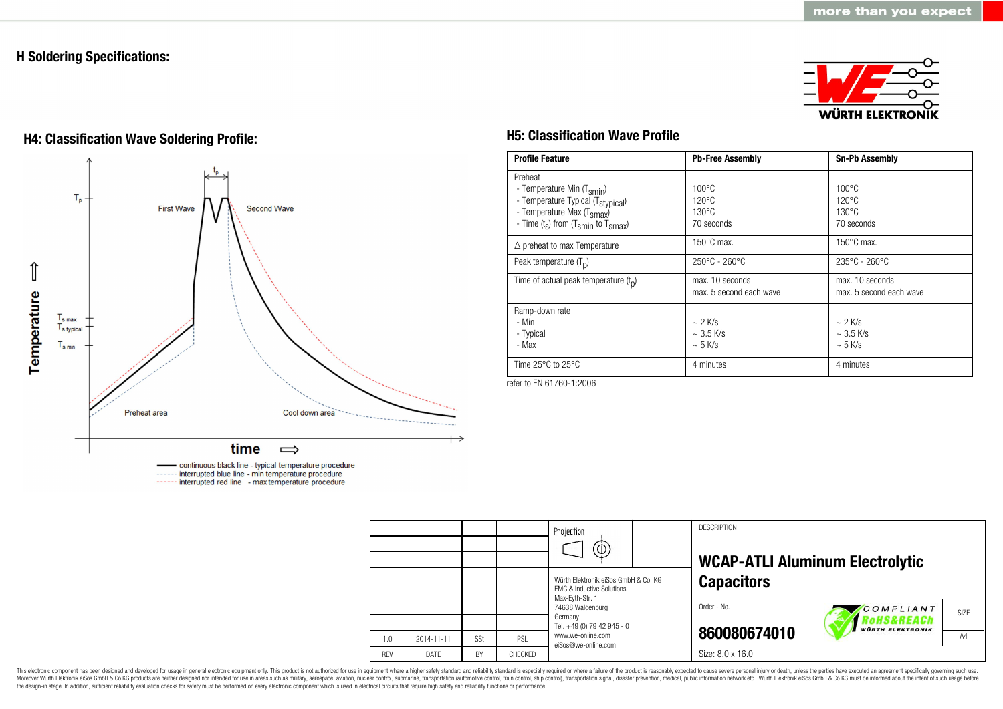### **H Soldering Specifications:**



# **H4: Classification Wave Soldering Profile: H5: Classification Wave Profile**



continuous black line - typical temperature procedure ------ interrupted blue line - min temperature procedure ------ interrupted red line - max temperature procedure

| <b>Profile Feature</b>                                                                                                                                                                          | <b>Pb-Free Assembly</b>                                             | <b>Sn-Pb Assembly</b>                                               |
|-------------------------------------------------------------------------------------------------------------------------------------------------------------------------------------------------|---------------------------------------------------------------------|---------------------------------------------------------------------|
| Preheat<br>- Temperature Min (T <sub>smin</sub> )<br>- Temperature Typical (T <sub>stypical</sub> )<br>- Temperature Max (T <sub>smax</sub> )<br>- Time $(t_s)$ from $(T_{smin}$ to $T_{smax})$ | $100^{\circ}$ C<br>$120^{\circ}$ C<br>$130^{\circ}$ C<br>70 seconds | $100^{\circ}$ C<br>$120^{\circ}$ C<br>$130^{\circ}$ C<br>70 seconds |
| $\triangle$ preheat to max Temperature                                                                                                                                                          | $150^{\circ}$ C max.                                                | $150^{\circ}$ C max.                                                |
| Peak temperature $(T_n)$                                                                                                                                                                        | $250^{\circ}$ C - 260 $^{\circ}$ C                                  | $235^{\circ}$ C - 260 $^{\circ}$ C                                  |
| Time of actual peak temperature $(t_n)$                                                                                                                                                         | max. 10 seconds<br>max. 5 second each wave                          | max. 10 seconds<br>max. 5 second each wave                          |
| Ramp-down rate<br>- Min<br>- Typical<br>- Max                                                                                                                                                   | $\sim$ 2 K/s<br>$\sim$ 3.5 K/s<br>$\sim$ 5 K/s                      | $\sim$ 2 K/s<br>$~\sim$ 3.5 K/s<br>$~5$ K/s                         |
| Time $25^{\circ}$ C to $25^{\circ}$ C                                                                                                                                                           | 4 minutes                                                           | 4 minutes                                                           |

refer to EN 61760-1:2006

|            |            |     |         | Projection<br>$\circledast$                                                                                                    |  | <b>DESCRIPTION</b><br><b>WCAP-ATLI Aluminum Electrolytic</b> |                         |                |
|------------|------------|-----|---------|--------------------------------------------------------------------------------------------------------------------------------|--|--------------------------------------------------------------|-------------------------|----------------|
|            |            |     |         | Würth Elektronik eiSos GmbH & Co. KG<br><b>EMC &amp; Inductive Solutions</b><br>Max-Evth-Str. 1<br>74638 Waldenburg<br>Germany |  | <b>Capacitors</b>                                            |                         |                |
|            |            |     |         |                                                                                                                                |  | Order.- No.                                                  | COMPLIANT<br>RoHS&REACh | SIZE           |
|            |            |     |         | Tel. +49 (0) 79 42 945 - 0                                                                                                     |  | 860080674010                                                 | <b>WÜRTH ELEKTRONIK</b> |                |
| 1.0        | 2014-11-11 | SSt | PSL     | www.we-online.com<br>eiSos@we-online.com                                                                                       |  |                                                              |                         | A <sub>4</sub> |
| <b>REV</b> | DATE       | BY  | CHECKED |                                                                                                                                |  | Size: 8.0 x 16.0                                             |                         |                |

This electronic component has been designed and developed for usage in general electronic equipment only. This product is not authorized for use in equipment where a higher safety standard and reliability standard and reli Moreover Würth Elektronik eiSos GmbH & Co KG products are neither designed nor intended for use in areas such as military, aerospace, aviation, nuclear control, submarine, transportation (automotive control), stain control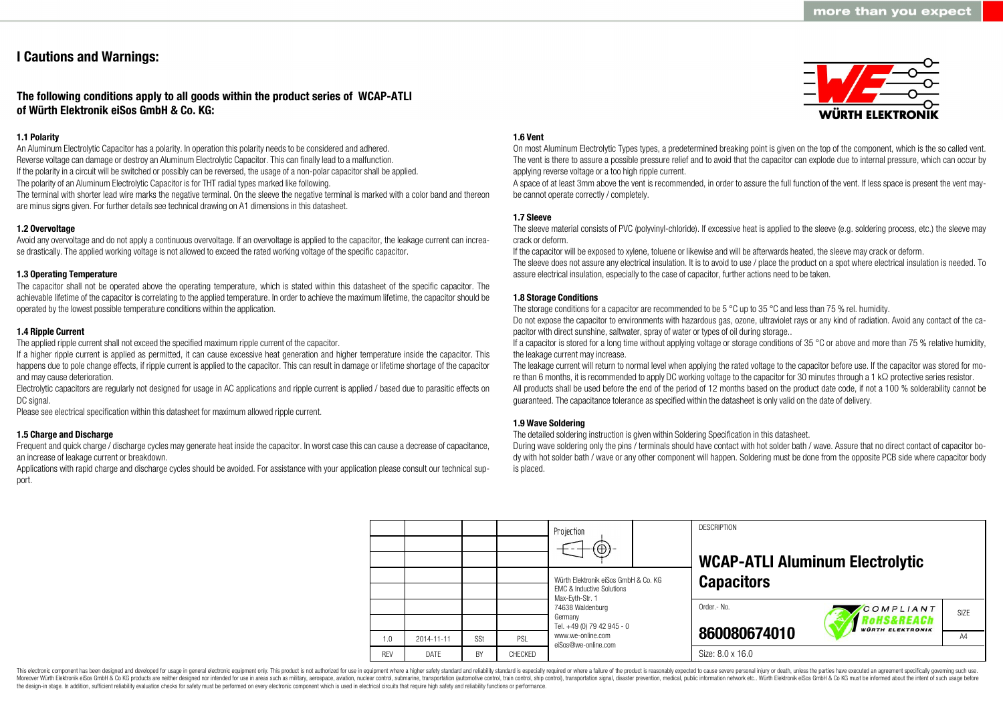### **I Cautions and Warnings:**

### **The following conditions apply to all goods within the product series of WCAP-ATLI of Würth Elektronik eiSos GmbH & Co. KG:**

#### **1.1 Polarity**

An Aluminum Electrolytic Capacitor has a polarity. In operation this polarity needs to be considered and adhered. Reverse voltage can damage or destroy an Aluminum Electrolytic Capacitor. This can finally lead to a malfunction. If the polarity in a circuit will be switched or possibly can be reversed, the usage of a non-polar capacitor shall be applied. The polarity of an Aluminum Electrolytic Capacitor is for THT radial types marked like following.

The terminal with shorter lead wire marks the negative terminal. On the sleeve the negative terminal is marked with a color band and thereon are minus signs given. For further details see technical drawing on A1 dimensions in this datasheet.

### **1.2 Overvoltage**

Avoid any overvoltage and do not apply a continuous overvoltage. If an overvoltage is applied to the capacitor, the leakage current can increase drastically. The applied working voltage is not allowed to exceed the rated working voltage of the specific capacitor.

#### **1.3 Operating Temperature**

The capacitor shall not be operated above the operating temperature, which is stated within this datasheet of the specific capacitor. The achievable lifetime of the capacitor is correlating to the applied temperature. In order to achieve the maximum lifetime, the capacitor should be operated by the lowest possible temperature conditions within the application.

#### **1.4 Ripple Current**

The applied ripple current shall not exceed the specified maximum ripple current of the capacitor.

If a higher ripple current is applied as permitted, it can cause excessive heat generation and higher temperature inside the capacitor. This happens due to pole change effects, if ripple current is applied to the capacitor. This can result in damage or lifetime shortage of the capacitor and may cause deterioration.

Electrolytic capacitors are regularly not designed for usage in AC applications and ripple current is applied / based due to parasitic effects on DC signal.

Please see electrical specification within this datasheet for maximum allowed ripple current.

#### **1.5 Charge and Discharge**

Frequent and quick charge / discharge cycles may generate heat inside the capacitor. In worst case this can cause a decrease of capacitance, an increase of leakage current or breakdown.

Applications with rapid charge and discharge cycles should be avoided. For assistance with your application please consult our technical support.

#### **1.6 Vent**

On most Aluminum Electrolytic Types types, a predetermined breaking point is given on the top of the component, which is the so called vent. The vent is there to assure a possible pressure relief and to avoid that the capacitor can explode due to internal pressure, which can occur by applying reverse voltage or a too high ripple current.

A space of at least 3mm above the vent is recommended, in order to assure the full function of the vent. If less space is present the vent maybe cannot operate correctly / completely.

#### **1.7 Sleeve**

The sleeve material consists of PVC (polyvinyl-chloride). If excessive heat is applied to the sleeve (e.g. soldering process, etc.) the sleeve may crack or deform.

If the capacitor will be exposed to xylene, toluene or likewise and will be afterwards heated, the sleeve may crack or deform.

The sleeve does not assure any electrical insulation. It is to avoid to use / place the product on a spot where electrical insulation is needed. To assure electrical insulation, especially to the case of capacitor, further actions need to be taken.

#### **1.8 Storage Conditions**

The storage conditions for a capacitor are recommended to be 5 °C up to 35 °C and less than 75 % rel. humidity.

Do not expose the capacitor to environments with hazardous gas, ozone, ultraviolet rays or any kind of radiation. Avoid any contact of the capacitor with direct sunshine, saltwater, spray of water or types of oil during storage..

If a capacitor is stored for a long time without applying voltage or storage conditions of 35 °C or above and more than 75 % relative humidity, the leakage current may increase.

The leakage current will return to normal level when applying the rated voltage to the capacitor before use. If the capacitor was stored for more than 6 months, it is recommended to apply DC working voltage to the capacitor for 30 minutes through a 1 kΩ protective series resistor. All products shall be used before the end of the period of 12 months based on the product date code, if not a 100 % solderability cannot be guaranteed. The capacitance tolerance as specified within the datasheet is only valid on the date of delivery.

#### **1.9 Wave Soldering**

The detailed soldering instruction is given within Soldering Specification in this datasheet.

During wave soldering only the pins / terminals should have contact with hot solder bath / wave. Assure that no direct contact of capacitor body with hot solder bath / wave or any other component will happen. Soldering must be done from the opposite PCB side where capacitor body is placed.

|            |             |     |         | Projection<br>$\left( \oplus \right)$                                        |             | <b>DESCRIPTION</b><br><b>WCAP-ATLI Aluminum Electrolytic</b> |                                                    |  |
|------------|-------------|-----|---------|------------------------------------------------------------------------------|-------------|--------------------------------------------------------------|----------------------------------------------------|--|
|            |             |     |         | Würth Elektronik eiSos GmbH & Co. KG<br><b>EMC &amp; Inductive Solutions</b> |             | <b>Capacitors</b>                                            |                                                    |  |
|            |             |     |         | Max-Eyth-Str. 1<br>74638 Waldenburg<br>Germany<br>Tel. +49 (0) 79 42 945 - 0 | Order.- No. |                                                              | COMPLIANT<br>RoHS&REACh<br><b>WÜRTH ELEKTRONIK</b> |  |
| 1.0        | 2014-11-11  | SSt | PSL     | www.we-online.com<br>eiSos@we-online.com                                     |             | 860080674010                                                 |                                                    |  |
| <b>RFV</b> | <b>DATF</b> | BY  | CHECKED |                                                                              |             | Size: 8.0 x 16.0                                             |                                                    |  |

This electronic component has been designed and developed for usage in general electronic equipment only. This product is not authorized for use in equipment where a higher safety standard and reliability standard is espec Moreover Würth Elektronik eiSos GmbH & Co KG products are neither designed nor intended for use in areas such as military, aerospace, aviation, nuclear control, submarine, transportation (automotive control), tain control) the design-in stage. In addition, sufficient reliability evaluation checks for safety must be performed on every electronic component which is used in electrical circuits that require high safety and reliability functions

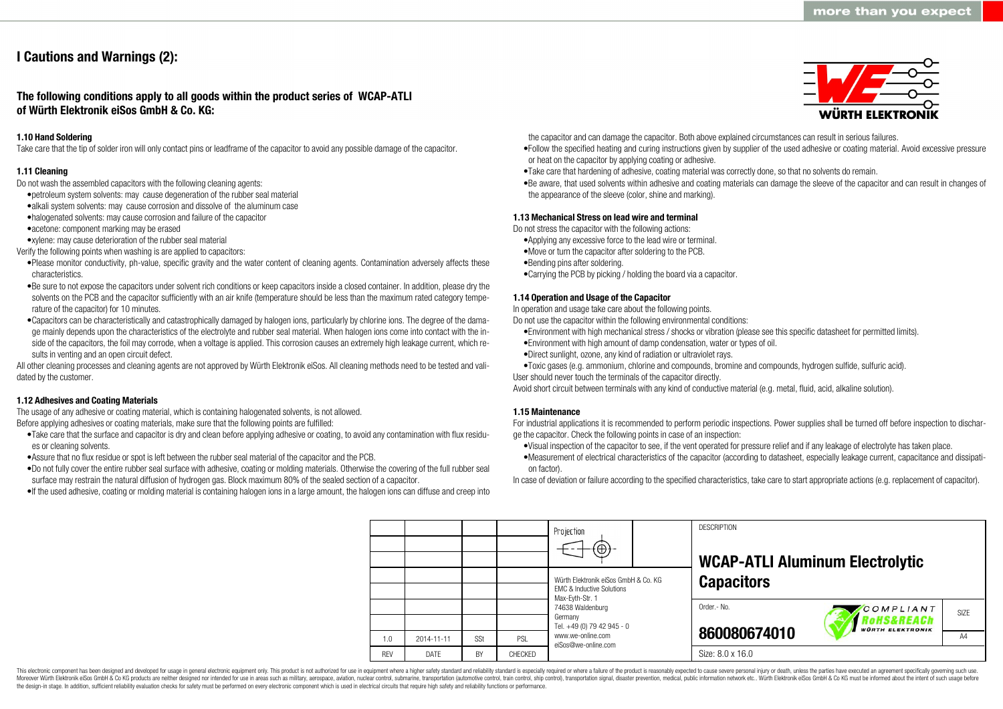## **I Cautions and Warnings (2):**

**The following conditions apply to all goods within the product series of WCAP-ATLI of Würth Elektronik eiSos GmbH & Co. KG:**

#### **1.10 Hand Soldering**

Take care that the tip of solder iron will only contact pins or leadframe of the capacitor to avoid any possible damage of the capacitor.

#### **1.11 Cleaning**

Do not wash the assembled capacitors with the following cleaning agents:

- •petroleum system solvents: may cause degeneration of the rubber seal material
- •alkali system solvents: may cause corrosion and dissolve of the aluminum case
- •halogenated solvents: may cause corrosion and failure of the capacitor
- •acetone: component marking may be erased
- •xylene: may cause deterioration of the rubber seal material
- Verify the following points when washing is are applied to capacitors:
- •Please monitor conductivity, ph-value, specific gravity and the water content of cleaning agents. Contamination adversely affects these characteristics.
- •Be sure to not expose the capacitors under solvent rich conditions or keep capacitors inside a closed container. In addition, please dry the solvents on the PCB and the capacitor sufficiently with an air knife (temperature should be less than the maximum rated category temperature of the capacitor) for 10 minutes.
- •Capacitors can be characteristically and catastrophically damaged by halogen ions, particularly by chlorine ions. The degree of the damage mainly depends upon the characteristics of the electrolyte and rubber seal material. When halogen ions come into contact with the inside of the capacitors, the foil may corrode, when a voltage is applied. This corrosion causes an extremely high leakage current, which results in venting and an open circuit defect.

All other cleaning processes and cleaning agents are not approved by Würth Elektronik eiSos. All cleaning methods need to be tested and validated by the customer.

#### **1.12 Adhesives and Coating Materials**

The usage of any adhesive or coating material, which is containing halogenated solvents, is not allowed. Before applying adhesives or coating materials, make sure that the following points are fulfilled:

- •Take care that the surface and capacitor is dry and clean before applying adhesive or coating, to avoid any contamination with flux residues or cleaning solvents.
- •Assure that no flux residue or spot is left between the rubber seal material of the capacitor and the PCB.
- •Do not fully cover the entire rubber seal surface with adhesive, coating or molding materials. Otherwise the covering of the full rubber seal surface may restrain the natural diffusion of hydrogen gas. Block maximum 80% of the sealed section of a capacitor.
- •If the used adhesive, coating or molding material is containing halogen ions in a large amount, the halogen ions can diffuse and creep into



the capacitor and can damage the capacitor. Both above explained circumstances can result in serious failures.

- •Follow the specified heating and curing instructions given by supplier of the used adhesive or coating material. Avoid excessive pressure or heat on the capacitor by applying coating or adhesive.
- •Take care that hardening of adhesive, coating material was correctly done, so that no solvents do remain.
- •Be aware, that used solvents within adhesive and coating materials can damage the sleeve of the capacitor and can result in changes of the appearance of the sleeve (color, shine and marking).

#### **1.13 Mechanical Stress on lead wire and terminal**

Do not stress the capacitor with the following actions:

- •Applying any excessive force to the lead wire or terminal.
- •Move or turn the capacitor after soldering to the PCB.
- •Bending pins after soldering.
- •Carrying the PCB by picking / holding the board via a capacitor.

#### **1.14 Operation and Usage of the Capacitor**

In operation and usage take care about the following points.

Do not use the capacitor within the following environmental conditions:

- •Environment with high mechanical stress / shocks or vibration (please see this specific datasheet for permitted limits).
- •Environment with high amount of damp condensation, water or types of oil.
- •Direct sunlight, ozone, any kind of radiation or ultraviolet rays.
- •Toxic gases (e.g. ammonium, chlorine and compounds, bromine and compounds, hydrogen sulfide, sulfuric acid).
- User should never touch the terminals of the capacitor directly.

Avoid short circuit between terminals with any kind of conductive material (e.g. metal, fluid, acid, alkaline solution).

#### **1.15 Maintenance**

For industrial applications it is recommended to perform periodic inspections. Power supplies shall be turned off before inspection to discharge the capacitor. Check the following points in case of an inspection:

- •Visual inspection of the capacitor to see, if the vent operated for pressure relief and if any leakage of electrolyte has taken place.
- •Measurement of electrical characteristics of the capacitor (according to datasheet, especially leakage current, capacitance and dissipation factor).

In case of deviation or failure according to the specified characteristics, take care to start appropriate actions (e.g. replacement of capacitor).

**DESCRIPTION** Projection **WCAP-ATLI Aluminum Electrolytic** Würth Elektronik eiSos GmbH & Co. KG **Capacitors** EMC & Inductive Solutions Max-Eyth-Str. 1 74638 Waldenburg Order.- No. COMPLIANT SIZE Germany **RoHS&REACh** Tel. +49 (0) 79 42 945 - 0 **VÜRTH ELEKTRONIK 860080674010** www.we-online.com A<sub>4</sub> 1.0 2014-11-11 S<sub>St</sub> PSL eiSos@we-online.com Size: 8.0 x 16.0 REV DATE BY CHECKED

This electronic component has been designed and developed for usage in general electronic equipment only. This product is not authorized for use in equipment where a higher safety standard and reliability standard and reli Moreover Würth Elektronik eiSos GmbH & Co KG products are neither designed nor intended for use in areas such as military, aerospace, aviation, nuclear control, submarine, transportation (automotive control), tain control) the design-in stage. In addition, sufficient reliability evaluation checks for safety must be performed on every electronic component which is used in electrical circuits that require high safety and reliability functions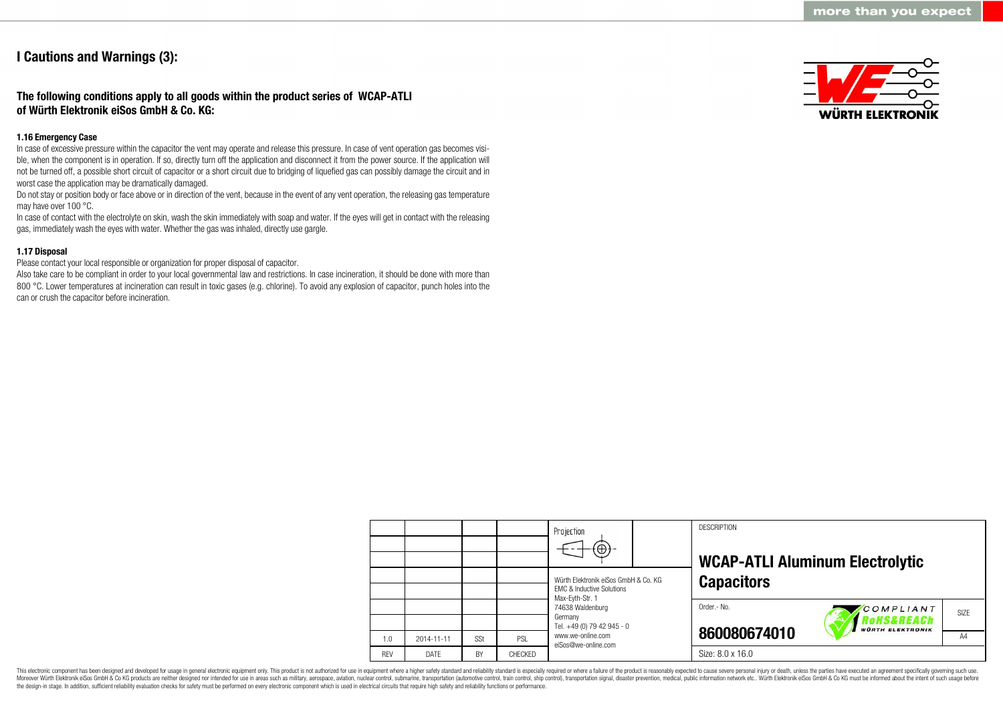### **I Cautions and Warnings (3):**

### **The following conditions apply to all goods within the product series of WCAP-ATLI of Würth Elektronik eiSos GmbH & Co. KG:**

#### **1.16 Emergency Case**

In case of excessive pressure within the capacitor the vent may operate and release this pressure. In case of vent operation gas becomes visible, when the component is in operation. If so, directly turn off the application and disconnect it from the power source. If the application will not be turned off, a possible short circuit of capacitor or a short circuit due to bridging of liquefied gas can possibly damage the circuit and in worst case the application may be dramatically damaged.

Do not stay or position body or face above or in direction of the vent, because in the event of any vent operation, the releasing gas temperature may have over 100 °C.

In case of contact with the electrolyte on skin, wash the skin immediately with soap and water. If the eyes will get in contact with the releasing gas, immediately wash the eyes with water. Whether the gas was inhaled, directly use gargle.

### **1.17 Disposal**

Please contact your local responsible or organization for proper disposal of capacitor.

Also take care to be compliant in order to your local governmental law and restrictions. In case incineration, it should be done with more than 800 °C. Lower temperatures at incineration can result in toxic gases (e.g. chlorine). To avoid any explosion of capacitor, punch holes into the can or crush the capacitor before incineration.



|            |                  |     |         | Projection<br>$\Theta$<br>Würth Elektronik eiSos GmbH & Co. KG<br><b>EMC &amp; Inductive Solutions</b> | <b>DESCRIPTION</b><br><b>WCAP-ATLI Aluminum Electrolytic</b><br><b>Capacitors</b>     |
|------------|------------------|-----|---------|--------------------------------------------------------------------------------------------------------|---------------------------------------------------------------------------------------|
|            |                  |     |         | Max-Eyth-Str. 1<br>74638 Waldenburg<br>Germany<br>Tel. +49 (0) 79 42 945 - 0                           | Order.- No.<br>COMPLIANT<br>SI <sub>7</sub> F<br>oHS&REACh<br><b>WÜRTH ELEKTRONIK</b> |
| 1.0        | $2014 - 11 - 11$ | SSt | PSL     | www.we-online.com<br>eiSos@we-online.com                                                               | 860080674010<br>A4                                                                    |
| <b>REV</b> | DATE             | BY  | CHECKED |                                                                                                        | Size: 8.0 x 16.0                                                                      |

This electronic component has been designed and developed for usage in general electronic equipment only. This product is not authorized for use in equipment where a higher safety standard and reliability standard is espec Moreover Würth Elektronik eiSos GmbH & Co KG products are neither designed nor intended for use in areas such as military, aerospace, aviation, nuclear control, submarine, transportation (automotive control, ship control), the design-in stage. In addition, sufficient reliability evaluation checks for safety must be performed on every electronic component which is used in electrical circuits that require high safety and reliability functions